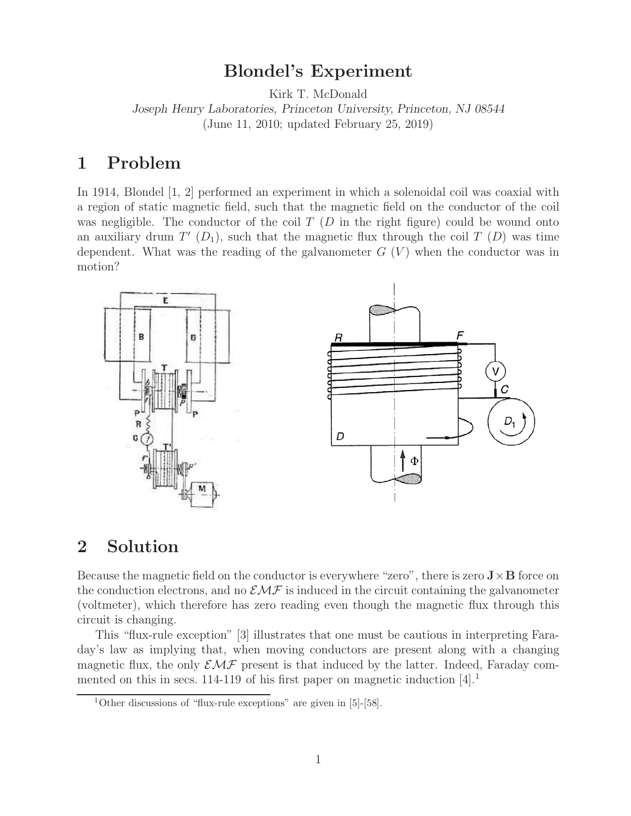#### **Blondel's Experiment**

Kirk T. McDonald

*Joseph Henry Laboratories, Princeton University, Princeton, NJ 08544*

(June 11, 2010; updated February 25, 2019)

## **1 Problem**

In 1914, Blondel [1, 2] performed an experiment in which a solenoidal coil was coaxial with a region of static magnetic field, such that the magnetic field on the conductor of the coil was negligible. The conductor of the coil  $T(D)$  in the right figure) could be wound onto an auxiliary drum  $T'$  ( $D_1$ ), such that the magnetic flux through the coil  $T$  ( $D$ ) was time dependent. What was the reading of the galvanometer  $G(V)$  when the conductor was in motion?



## **2 Solution**

Because the magnetic field on the conductor is everywhere "zero", there is zero  $\mathbf{J} \times \mathbf{B}$  force on the conduction electrons, and no  $\mathcal{EMF}$  is induced in the circuit containing the galvanometer (voltmeter), which therefore has zero reading even though the magnetic flux through this circuit is changing.

This "flux-rule exception" [3] illustrates that one must be cautious in interpreting Faraday's law as implying that, when moving conductors are present along with a changing magnetic flux, the only  $\mathcal{EMF}$  present is that induced by the latter. Indeed, Faraday commented on this in secs. 114-119 of his first paper on magnetic induction [4].<sup>1</sup>

<sup>1</sup>Other discussions of "flux-rule exceptions" are given in [5]-[58].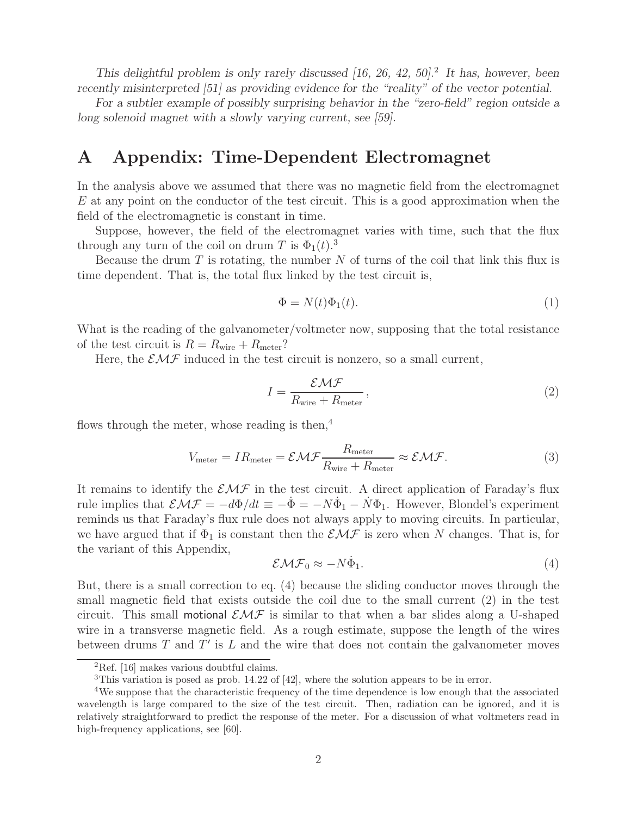*This delightful problem is only rarely discussed [16, 26, 42, 50].*<sup>2</sup> *It has, however, been recently misinterpreted [51] as providing evidence for the "reality" of the vector potential.*

*For a subtler example of possibly surprising behavior in the "zero-field" region outside a long solenoid magnet with a slowly varying current, see [59].*

#### **A Appendix: Time-Dependent Electromagnet**

In the analysis above we assumed that there was no magnetic field from the electromagnet  $E$  at any point on the conductor of the test circuit. This is a good approximation when the field of the electromagnetic is constant in time.

Suppose, however, the field of the electromagnet varies with time, such that the flux through any turn of the coil on drum T is  $\Phi_1(t)$ .<sup>3</sup>

Because the drum  $T$  is rotating, the number  $N$  of turns of the coil that link this flux is time dependent. That is, the total flux linked by the test circuit is,

$$
\Phi = N(t)\Phi_1(t). \tag{1}
$$

What is the reading of the galvanometer/voltmeter now, supposing that the total resistance of the test circuit is  $R = R_{\text{wire}} + R_{\text{meter}}$ ?

Here, the  $\mathcal{EMF}$  induced in the test circuit is nonzero, so a small current,

$$
I = \frac{\mathcal{EMF}}{R_{\text{wire}} + R_{\text{meter}}},\tag{2}
$$

flows through the meter, whose reading is then, $4$ 

$$
V_{\text{meter}} = IR_{\text{meter}} = \mathcal{EMF}\frac{R_{\text{meter}}}{R_{\text{wire}} + R_{\text{meter}}} \approx \mathcal{EMF}.
$$
 (3)

It remains to identify the  $\mathcal{EMF}$  in the test circuit. A direct application of Faraday's flux rule implies that  $\mathcal{EMF} = -d\Phi/dt \equiv -\dot{\Phi} = -N\dot{\Phi}_1 - N\Phi_1$ . However, Blondel's experiment reminds us that Faraday's flux rule does not always apply to moving circuits. In particular, we have argued that if  $\Phi_1$  is constant then the  $\mathcal{EMF}$  is zero when N changes. That is, for the variant of this Appendix,

$$
\mathcal{EMF}_0 \approx -N\dot{\Phi}_1. \tag{4}
$$

But, there is a small correction to eq. (4) because the sliding conductor moves through the small magnetic field that exists outside the coil due to the small current (2) in the test circuit. This small motional  $\mathcal{EMF}$  is similar to that when a bar slides along a U-shaped wire in a transverse magnetic field. As a rough estimate, suppose the length of the wires between drums  $T$  and  $T'$  is  $L$  and the wire that does not contain the galvanometer moves

<sup>2</sup>Ref. [16] makes various doubtful claims.

<sup>&</sup>lt;sup>3</sup>This variation is posed as prob. 14.22 of [42], where the solution appears to be in error.

<sup>4</sup>We suppose that the characteristic frequency of the time dependence is low enough that the associated wavelength is large compared to the size of the test circuit. Then, radiation can be ignored, and it is relatively straightforward to predict the response of the meter. For a discussion of what voltmeters read in high-frequency applications, see [60].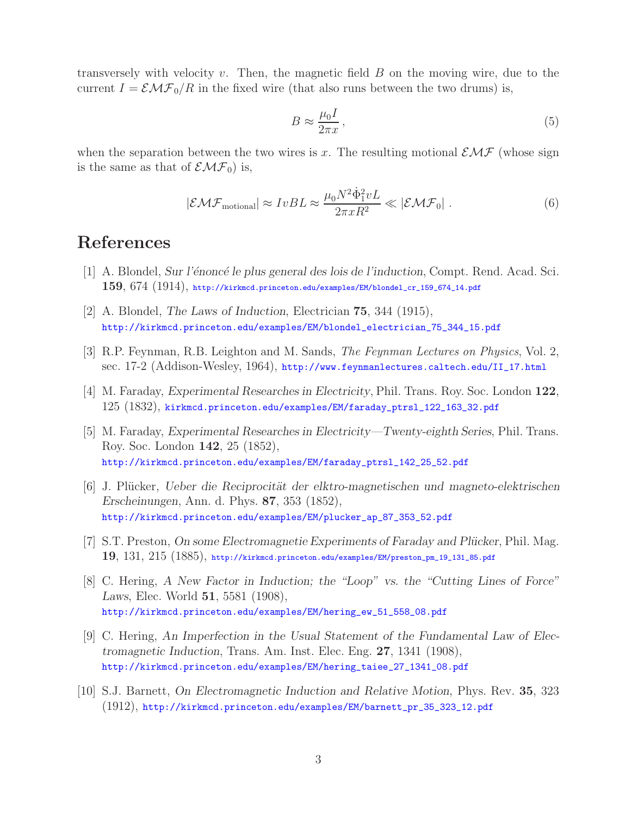transversely with velocity  $v$ . Then, the magnetic field  $B$  on the moving wire, due to the current  $I = \mathcal{EMF}_0/R$  in the fixed wire (that also runs between the two drums) is,

$$
B \approx \frac{\mu_0 I}{2\pi x},\tag{5}
$$

when the separation between the two wires is x. The resulting motional  $\mathcal{EMF}$  (whose sign is the same as that of  $\mathcal{EMF}_0$  is,

$$
|\mathcal{EMF}_{\text{motional}}| \approx IvBL \approx \frac{\mu_0 N^2 \dot{\Phi}_1^2 vL}{2\pi x R^2} \ll |\mathcal{EMF}_0| \ . \tag{6}
$$

# **References**

- [1] A. Blondel, *Sur l'´enonc´e le plus general des lois de l'induction*, Compt. Rend. Acad. Sci. **159**, 674 (1914), http://kirkmcd.princeton.edu/examples/EM/blondel\_cr\_159\_674\_14.pdf
- [2] A. Blondel, *The Laws of Induction*, Electrician **75**, 344 (1915), http://kirkmcd.princeton.edu/examples/EM/blondel\_electrician\_75\_344\_15.pdf
- [3] R.P. Feynman, R.B. Leighton and M. Sands, *The Feynman Lectures on Physics*, Vol. 2, sec. 17-2 (Addison-Wesley, 1964), http://www.feynmanlectures.caltech.edu/II\_17.html
- [4] M. Faraday, *Experimental Researches in Electricity*, Phil. Trans. Roy. Soc. London **122**, 125 (1832), kirkmcd.princeton.edu/examples/EM/faraday\_ptrsl\_122\_163\_32.pdf
- [5] M. Faraday, *Experimental Researches in Electricity—Twenty-eighth Series*, Phil. Trans. Roy. Soc. London **142**, 25 (1852), http://kirkmcd.princeton.edu/examples/EM/faraday\_ptrsl\_142\_25\_52.pdf
- [6] J. Pl¨ucker, *Ueber die Reciprocit¨at der elktro-magnetischen und magneto-elektrischen Erscheinungen*, Ann. d. Phys. **87**, 353 (1852), http://kirkmcd.princeton.edu/examples/EM/plucker\_ap\_87\_353\_52.pdf
- [7] S.T. Preston, *On some Electromagnetie Experiments of Faraday and Plücker*, Phil. Mag. **19**, 131, 215 (1885), http://kirkmcd.princeton.edu/examples/EM/preston\_pm\_19\_131\_85.pdf
- [8] C. Hering, *A New Factor in Induction; the "Loop" vs. the "Cutting Lines of Force" Laws*, Elec. World **51**, 5581 (1908), http://kirkmcd.princeton.edu/examples/EM/hering\_ew\_51\_558\_08.pdf
- [9] C. Hering, *An Imperfection in the Usual Statement of the Fundamental Law of Electromagnetic Induction*, Trans. Am. Inst. Elec. Eng. **27**, 1341 (1908), http://kirkmcd.princeton.edu/examples/EM/hering\_taiee\_27\_1341\_08.pdf
- [10] S.J. Barnett, *On Electromagnetic Induction and Relative Motion*, Phys. Rev. **35**, 323 (1912), http://kirkmcd.princeton.edu/examples/EM/barnett\_pr\_35\_323\_12.pdf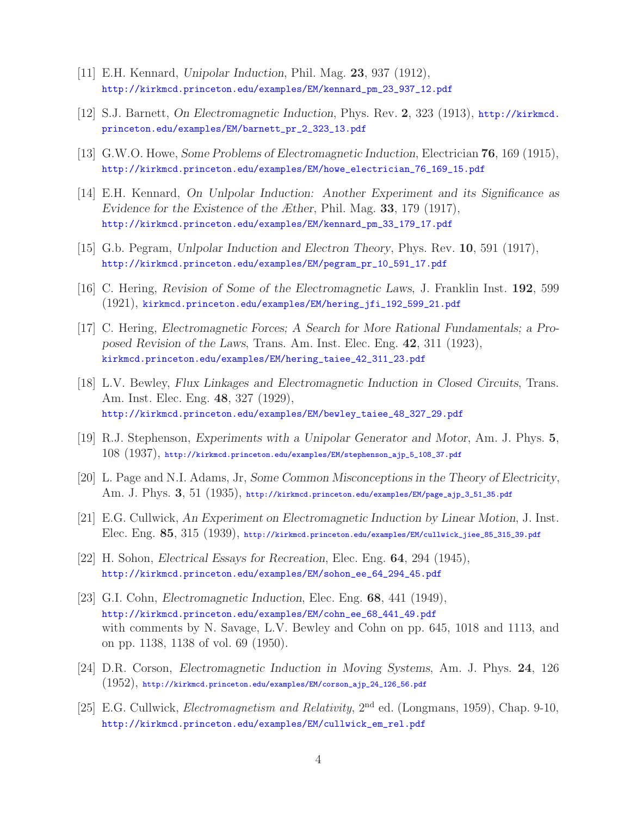- [11] E.H. Kennard, *Unipolar Induction*, Phil. Mag. **23**, 937 (1912), http://kirkmcd.princeton.edu/examples/EM/kennard\_pm\_23\_937\_12.pdf
- [12] S.J. Barnett, *On Electromagnetic Induction*, Phys. Rev. **2**, 323 (1913), http://kirkmcd. princeton.edu/examples/EM/barnett\_pr\_2\_323\_13.pdf
- [13] G.W.O. Howe, *Some Problems of Electromagnetic Induction*, Electrician **76**, 169 (1915), http://kirkmcd.princeton.edu/examples/EM/howe\_electrician\_76\_169\_15.pdf
- [14] E.H. Kennard, *On Unlpolar Induction: Another Experiment and its Significance as Evidence for the Existence of the Æther*, Phil. Mag. **33**, 179 (1917), http://kirkmcd.princeton.edu/examples/EM/kennard\_pm\_33\_179\_17.pdf
- [15] G.b. Pegram, *Unlpolar Induction and Electron Theory*, Phys. Rev. **10**, 591 (1917), http://kirkmcd.princeton.edu/examples/EM/pegram\_pr\_10\_591\_17.pdf
- [16] C. Hering, *Revision of Some of the Electromagnetic Laws*, J. Franklin Inst. **192**, 599 (1921), kirkmcd.princeton.edu/examples/EM/hering\_jfi\_192\_599\_21.pdf
- [17] C. Hering, *Electromagnetic Forces; A Search for More Rational Fundamentals; a Proposed Revision of the Laws*, Trans. Am. Inst. Elec. Eng. **42**, 311 (1923), kirkmcd.princeton.edu/examples/EM/hering\_taiee\_42\_311\_23.pdf
- [18] L.V. Bewley, *Flux Linkages and Electromagnetic Induction in Closed Circuits*, Trans. Am. Inst. Elec. Eng. **48**, 327 (1929), http://kirkmcd.princeton.edu/examples/EM/bewley\_taiee\_48\_327\_29.pdf
- [19] R.J. Stephenson, *Experiments with a Unipolar Generator and Motor*, Am. J. Phys. **5**, 108 (1937), http://kirkmcd.princeton.edu/examples/EM/stephenson\_ajp\_5\_108\_37.pdf
- [20] L. Page and N.I. Adams, Jr, *Some Common Misconceptions in the Theory of Electricity*, Am. J. Phys. **3**, 51 (1935), http://kirkmcd.princeton.edu/examples/EM/page\_ajp\_3\_51\_35.pdf
- [21] E.G. Cullwick, *An Experiment on Electromagnetic Induction by Linear Motion*, J. Inst. Elec. Eng. **85**, 315 (1939), http://kirkmcd.princeton.edu/examples/EM/cullwick\_jiee\_85\_315\_39.pdf
- [22] H. Sohon, *Electrical Essays for Recreation*, Elec. Eng. **64**, 294 (1945), http://kirkmcd.princeton.edu/examples/EM/sohon\_ee\_64\_294\_45.pdf
- [23] G.I. Cohn, *Electromagnetic Induction*, Elec. Eng. **68**, 441 (1949), http://kirkmcd.princeton.edu/examples/EM/cohn\_ee\_68\_441\_49.pdf with comments by N. Savage, L.V. Bewley and Cohn on pp. 645, 1018 and 1113, and on pp. 1138, 1138 of vol. 69 (1950).
- [24] D.R. Corson, *Electromagnetic Induction in Moving Systems*, Am. J. Phys. **24**, 126  $(1952)$ , http://kirkmcd.princeton.edu/examples/EM/corson\_ajp\_24\_126\_56.pdf
- [25] E.G. Cullwick, *Electromagnetism and Relativity*, 2nd ed. (Longmans, 1959), Chap. 9-10, http://kirkmcd.princeton.edu/examples/EM/cullwick\_em\_rel.pdf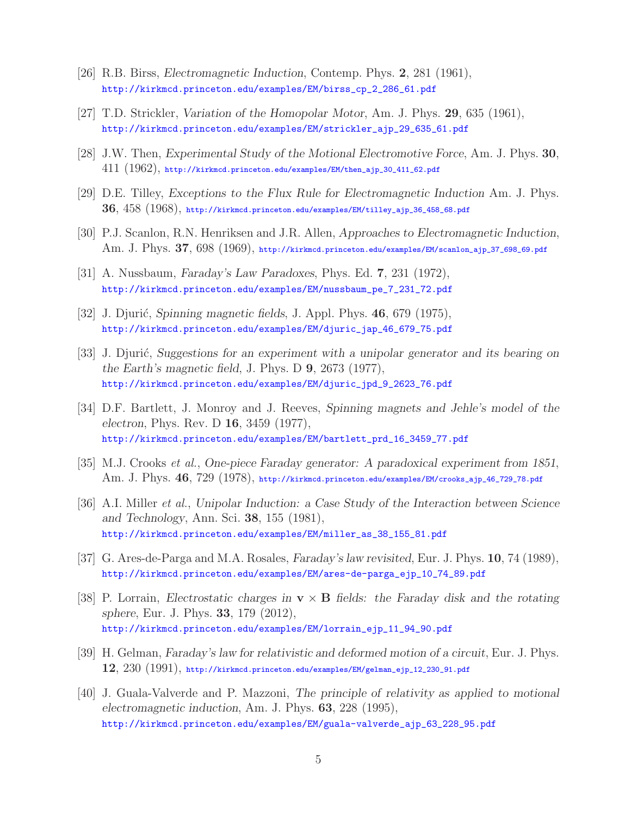- [26] R.B. Birss, *Electromagnetic Induction*, Contemp. Phys. **2**, 281 (1961), http://kirkmcd.princeton.edu/examples/EM/birss\_cp\_2\_286\_61.pdf
- [27] T.D. Strickler, *Variation of the Homopolar Motor*, Am. J. Phys. **29**, 635 (1961), http://kirkmcd.princeton.edu/examples/EM/strickler\_ajp\_29\_635\_61.pdf
- [28] J.W. Then, *Experimental Study of the Motional Electromotive Force*, Am. J. Phys. **30**,  $411$   $(1962)$ , http://kirkmcd.princeton.edu/examples/EM/then\_ajp\_30\_411\_62.pdf
- [29] D.E. Tilley, *Exceptions to the Flux Rule for Electromagnetic Induction* Am. J. Phys. **36**, 458 (1968), http://kirkmcd.princeton.edu/examples/EM/tilley\_ajp\_36\_458\_68.pdf
- [30] P.J. Scanlon, R.N. Henriksen and J.R. Allen, *Approaches to Electromagnetic Induction*, Am. J. Phys. **37**, 698 (1969), http://kirkmcd.princeton.edu/examples/EM/scanlon\_ajp\_37\_698\_69.pdf
- [31] A. Nussbaum, *Faraday's Law Paradoxes*, Phys. Ed. **7**, 231 (1972), http://kirkmcd.princeton.edu/examples/EM/nussbaum\_pe\_7\_231\_72.pdf
- [32] J. Djurić, *Spinning magnetic fields*, J. Appl. Phys. **46**, 679 (1975), http://kirkmcd.princeton.edu/examples/EM/djuric\_jap\_46\_679\_75.pdf
- [33] J. Djurić, *Suggestions for an experiment with a unipolar generator and its bearing on the Earth's magnetic field*, J. Phys. D **9**, 2673 (1977), http://kirkmcd.princeton.edu/examples/EM/djuric\_jpd\_9\_2623\_76.pdf
- [34] D.F. Bartlett, J. Monroy and J. Reeves, *Spinning magnets and Jehle's model of the electron*, Phys. Rev. D **16**, 3459 (1977), http://kirkmcd.princeton.edu/examples/EM/bartlett\_prd\_16\_3459\_77.pdf
- [35] M.J. Crooks *et al.*, *One-piece Faraday generator: A paradoxical experiment from 1851*, Am. J. Phys. **46**, 729 (1978), http://kirkmcd.princeton.edu/examples/EM/crooks\_ajp\_46\_729\_78.pdf
- [36] A.I. Miller *et al.*, *Unipolar Induction: a Case Study of the Interaction between Science and Technology*, Ann. Sci. **38**, 155 (1981), http://kirkmcd.princeton.edu/examples/EM/miller\_as\_38\_155\_81.pdf
- [37] G. Ares-de-Parga and M.A. Rosales, *Faraday's law revisited*, Eur. J. Phys. **10**, 74 (1989), http://kirkmcd.princeton.edu/examples/EM/ares-de-parga\_ejp\_10\_74\_89.pdf
- [38] P. Lorrain, *Electrostatic charges in* **v** × **B** *fields: the Faraday disk and the rotating sphere*, Eur. J. Phys. **33**, 179 (2012), http://kirkmcd.princeton.edu/examples/EM/lorrain\_ejp\_11\_94\_90.pdf
- [39] H. Gelman, *Faraday's law for relativistic and deformed motion of a circuit*, Eur. J. Phys. **12**, 230 (1991), http://kirkmcd.princeton.edu/examples/EM/gelman\_ejp\_12\_230\_91.pdf
- [40] J. Guala-Valverde and P. Mazzoni, *The principle of relativity as applied to motional electromagnetic induction*, Am. J. Phys. **63**, 228 (1995), http://kirkmcd.princeton.edu/examples/EM/guala-valverde\_ajp\_63\_228\_95.pdf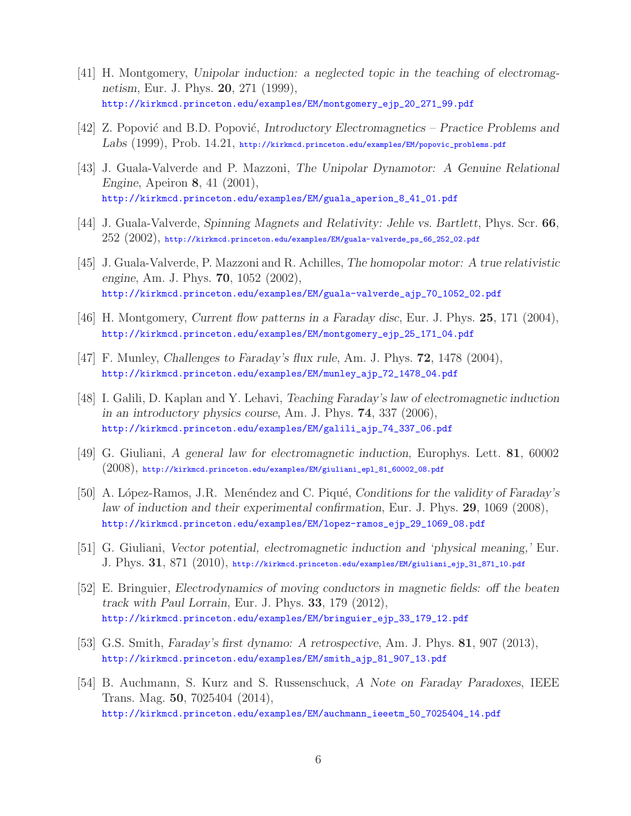- [41] H. Montgomery, *Unipolar induction: a neglected topic in the teaching of electromagnetism*, Eur. J. Phys. **20**, 271 (1999), http://kirkmcd.princeton.edu/examples/EM/montgomery\_ejp\_20\_271\_99.pdf
- [42] Z. Popović and B.D. Popović, *Introductory Electromagnetics Practice Problems and Labs* (1999), Prob. 14.21, http://kirkmcd.princeton.edu/examples/EM/popovic\_problems.pdf
- [43] J. Guala-Valverde and P. Mazzoni, *The Unipolar Dynamotor: A Genuine Relational Engine*, Apeiron **8**, 41 (2001), http://kirkmcd.princeton.edu/examples/EM/guala\_aperion\_8\_41\_01.pdf
- [44] J. Guala-Valverde, *Spinning Magnets and Relativity: Jehle vs. Bartlett*, Phys. Scr. **66**,  $252$   $(2002)$ , http://kirkmcd.princeton.edu/examples/EM/guala-valverde\_ps\_66\_252\_02.pdf
- [45] J. Guala-Valverde, P. Mazzoni and R. Achilles, *The homopolar motor: A true relativistic engine*, Am. J. Phys. **70**, 1052 (2002), http://kirkmcd.princeton.edu/examples/EM/guala-valverde\_ajp\_70\_1052\_02.pdf
- [46] H. Montgomery, *Current flow patterns in a Faraday disc*, Eur. J. Phys. **25**, 171 (2004), http://kirkmcd.princeton.edu/examples/EM/montgomery\_ejp\_25\_171\_04.pdf
- [47] F. Munley, *Challenges to Faraday's flux rule*, Am. J. Phys. **72**, 1478 (2004), http://kirkmcd.princeton.edu/examples/EM/munley\_ajp\_72\_1478\_04.pdf
- [48] I. Galili, D. Kaplan and Y. Lehavi, *Teaching Faraday's law of electromagnetic induction in an introductory physics course*, Am. J. Phys. **74**, 337 (2006), http://kirkmcd.princeton.edu/examples/EM/galili\_ajp\_74\_337\_06.pdf
- [49] G. Giuliani, *A general law for electromagnetic induction*, Europhys. Lett. **81**, 60002 (2008), http://kirkmcd.princeton.edu/examples/EM/giuliani\_epl\_81\_60002\_08.pdf
- [50] A. López-Ramos, J.R. Menéndez and C. Piqué, *Conditions for the validity of Faraday's law of induction and their experimental confirmation*, Eur. J. Phys. **29**, 1069 (2008), http://kirkmcd.princeton.edu/examples/EM/lopez-ramos\_ejp\_29\_1069\_08.pdf
- [51] G. Giuliani, *Vector potential, electromagnetic induction and 'physical meaning,'* Eur. J. Phys. **31**, 871 (2010), http://kirkmcd.princeton.edu/examples/EM/giuliani\_ejp\_31\_871\_10.pdf
- [52] E. Bringuier, *Electrodynamics of moving conductors in magnetic fields: off the beaten track with Paul Lorrain*, Eur. J. Phys. **33**, 179 (2012), http://kirkmcd.princeton.edu/examples/EM/bringuier\_ejp\_33\_179\_12.pdf
- [53] G.S. Smith, *Faraday's first dynamo: A retrospective*, Am. J. Phys. **81**, 907 (2013), http://kirkmcd.princeton.edu/examples/EM/smith\_ajp\_81\_907\_13.pdf
- [54] B. Auchmann, S. Kurz and S. Russenschuck, *A Note on Faraday Paradoxes*, IEEE Trans. Mag. **50**, 7025404 (2014), http://kirkmcd.princeton.edu/examples/EM/auchmann\_ieeetm\_50\_7025404\_14.pdf